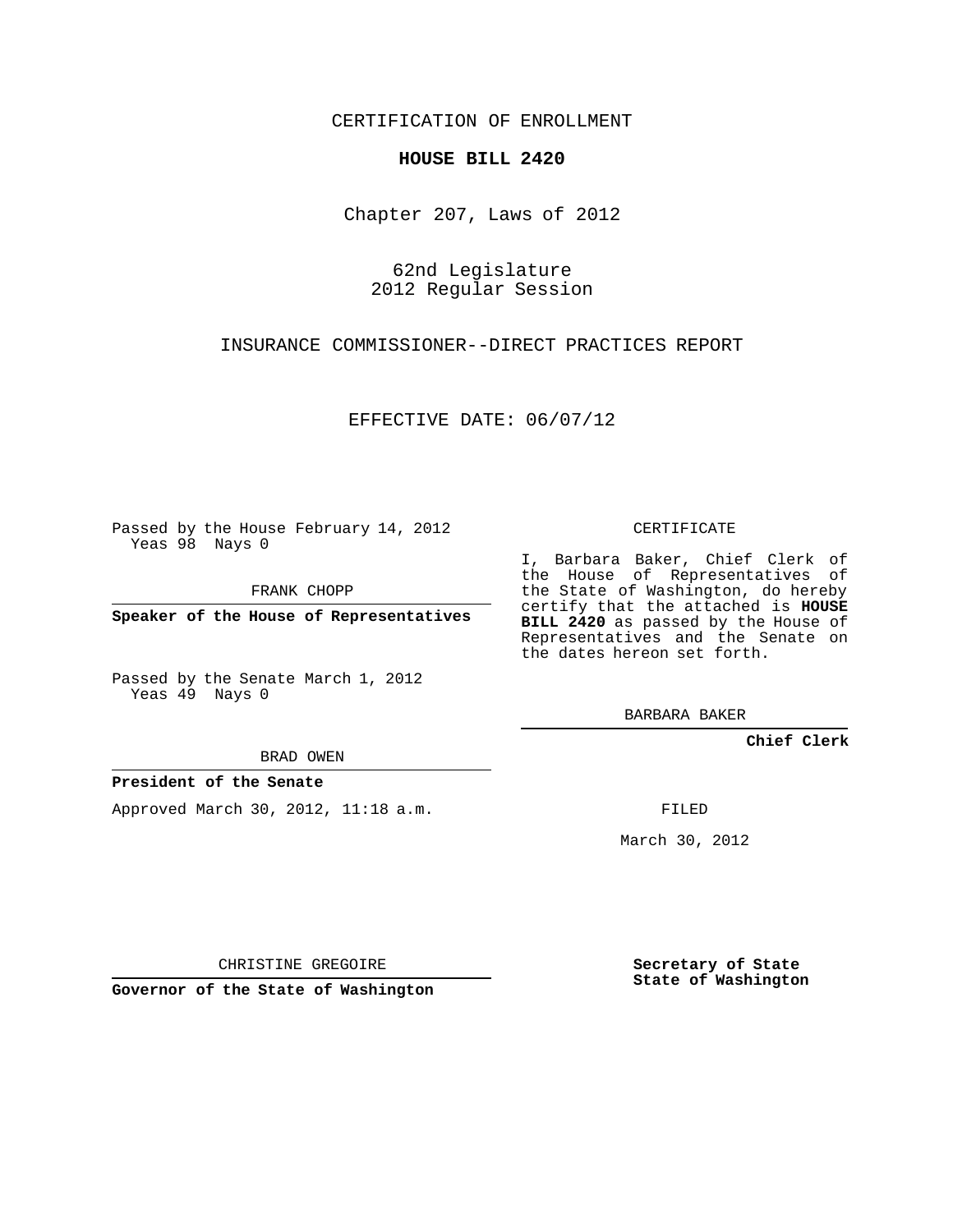CERTIFICATION OF ENROLLMENT

## **HOUSE BILL 2420**

Chapter 207, Laws of 2012

62nd Legislature 2012 Regular Session

INSURANCE COMMISSIONER--DIRECT PRACTICES REPORT

EFFECTIVE DATE: 06/07/12

Passed by the House February 14, 2012 Yeas 98 Nays 0

FRANK CHOPP

**Speaker of the House of Representatives**

Passed by the Senate March 1, 2012 Yeas 49 Nays 0

BRAD OWEN

## **President of the Senate**

Approved March 30, 2012, 11:18 a.m.

CERTIFICATE

I, Barbara Baker, Chief Clerk of the House of Representatives of the State of Washington, do hereby certify that the attached is **HOUSE BILL 2420** as passed by the House of Representatives and the Senate on the dates hereon set forth.

BARBARA BAKER

**Chief Clerk**

FILED

March 30, 2012

**Secretary of State State of Washington**

CHRISTINE GREGOIRE

**Governor of the State of Washington**